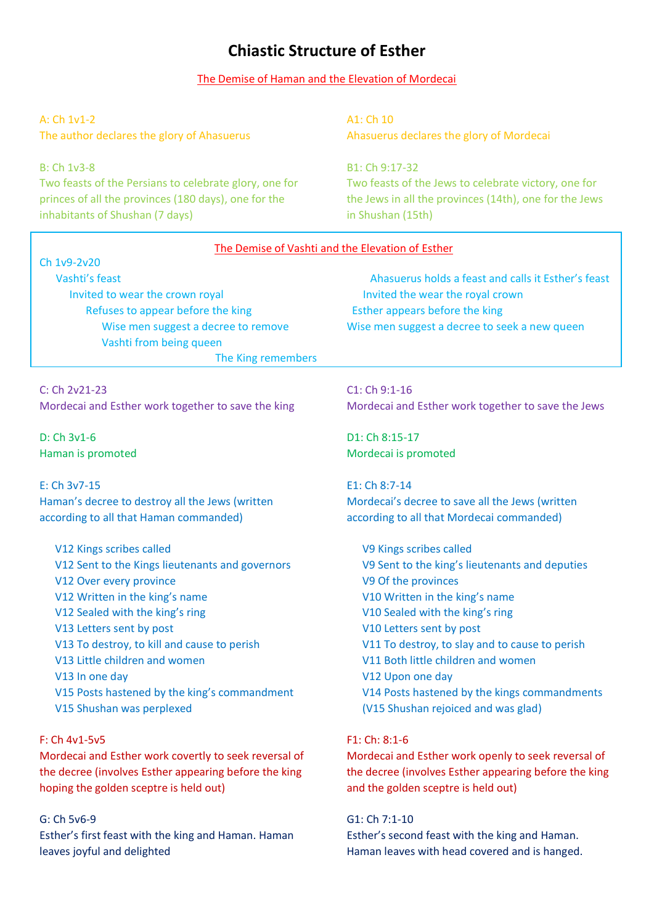# **Chiastic Structure of Esther**

## The Demise of Haman and the Elevation of Mordecai

A: Ch 1v1-2 The author declares the glory of Ahasuerus

#### B: Ch 1v3-8

Two feasts of the Persians to celebrate glory, one for princes of all the provinces (180 days), one for the inhabitants of Shushan (7 days)

A1: Ch 10 Ahasuerus declares the glory of Mordecai

B1: Ch 9:17-32 Two feasts of the Jews to celebrate victory, one for the Jews in all the provinces (14th), one for the Jews in Shushan (15th)

| The Demise of Vashti and the Elevation of Esther      |                                                       |
|-------------------------------------------------------|-------------------------------------------------------|
| Ch 1v9-2v20                                           |                                                       |
| Vashti's feast                                        | Ahasuerus holds a feast and calls it Esther's feast   |
| Invited to wear the crown royal                       | Invited the wear the royal crown                      |
| Refuses to appear before the king                     | Esther appears before the king                        |
| Wise men suggest a decree to remove                   | Wise men suggest a decree to seek a new queen         |
| Vashti from being queen                               |                                                       |
| The King remembers                                    |                                                       |
| C: Ch 2v21-23                                         | $C1:$ Ch $9:1-16$                                     |
| Mordecai and Esther work together to save the king    | Mordecai and Esther work together to save the Jews    |
| $D: Ch$ $3v1-6$                                       | D1: Ch 8:15-17                                        |
| Haman is promoted                                     | Mordecai is promoted                                  |
| E: Ch 3v7-15                                          | E1: Ch 8:7-14                                         |
| Haman's decree to destroy all the Jews (written       | Mordecai's decree to save all the Jews (written       |
| according to all that Haman commanded)                | according to all that Mordecai commanded)             |
| V12 Kings scribes called                              | V9 Kings scribes called                               |
| V12 Sent to the Kings lieutenants and governors       | V9 Sent to the king's lieutenants and deputies        |
| V12 Over every province                               | V9 Of the provinces                                   |
| V12 Written in the king's name                        | V10 Written in the king's name                        |
| V12 Sealed with the king's ring                       | V10 Sealed with the king's ring                       |
| V13 Letters sent by post                              | V10 Letters sent by post                              |
| V13 To destroy, to kill and cause to perish           | V11 To destroy, to slay and to cause to perish        |
| V13 Little children and women                         | V11 Both little children and women                    |
| V13 In one day                                        | V12 Upon one day                                      |
| V15 Posts hastened by the king's commandment          | V14 Posts hastened by the kings commandments          |
| V15 Shushan was perplexed                             | (V15 Shushan rejoiced and was glad)                   |
| F: Ch 4v1-5v5                                         | F1: Ch: 8:1-6                                         |
| Mordecai and Esther work covertly to seek reversal of | Mordecai and Esther work openly to seek reversal of   |
| the decree (involves Esther appearing before the king | the decree (involves Esther appearing before the king |
| hoping the golden sceptre is held out)                | and the golden sceptre is held out)                   |
| G: Ch 5v6-9                                           | G1: Ch 7:1-10                                         |
| Esther's first feast with the king and Haman. Haman   | Esther's second feast with the king and Haman.        |
| leaves joyful and delighted                           | Haman leaves with head covered and is hanged.         |